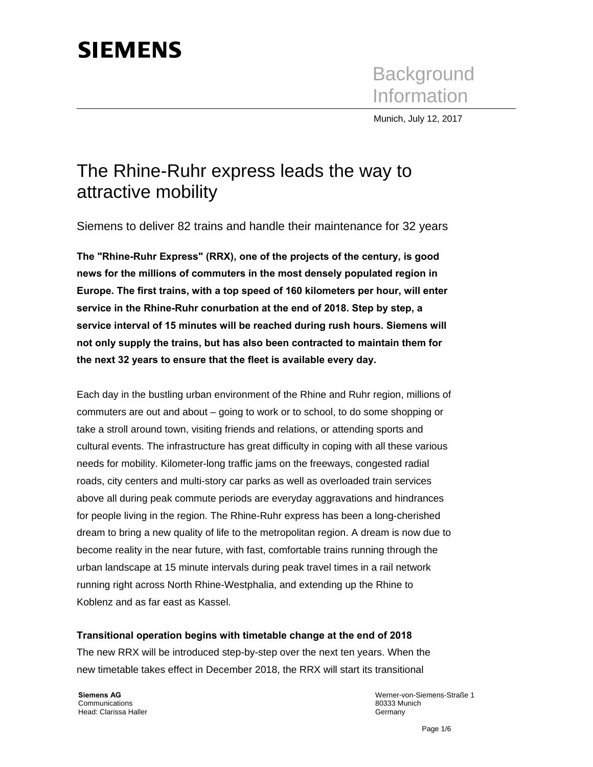# **SIEMENS**

**Background** Information

Munich, July 12, 2017

## The Rhine-Ruhr express leads the way to attractive mobility

Siemens to deliver 82 trains and handle their maintenance for 32 years

**The "Rhine-Ruhr Express" (RRX), one of the projects of the century, is good news for the millions of commuters in the most densely populated region in Europe. The first trains, with a top speed of 160 kilometers per hour, will enter service in the Rhine-Ruhr conurbation at the end of 2018. Step by step, a service interval of 15 minutes will be reached during rush hours. Siemens will not only supply the trains, but has also been contracted to maintain them for the next 32 years to ensure that the fleet is available every day.** 

Each day in the bustling urban environment of the Rhine and Ruhr region, millions of commuters are out and about – going to work or to school, to do some shopping or take a stroll around town, visiting friends and relations, or attending sports and cultural events. The infrastructure has great difficulty in coping with all these various needs for mobility. Kilometer-long traffic jams on the freeways, congested radial roads, city centers and multi-story car parks as well as overloaded train services above all during peak commute periods are everyday aggravations and hindrances for people living in the region. The Rhine-Ruhr express has been a long-cherished dream to bring a new quality of life to the metropolitan region. A dream is now due to become reality in the near future, with fast, comfortable trains running through the urban landscape at 15 minute intervals during peak travel times in a rail network running right across North Rhine-Westphalia, and extending up the Rhine to Koblenz and as far east as Kassel.

#### **Transitional operation begins with timetable change at the end of 2018**

The new RRX will be introduced step-by-step over the next ten years. When the new timetable takes effect in December 2018, the RRX will start its transitional

**Siemens AG**  Communications Head: Clarissa Haller Werner-von-Siemens-Straße 1 80333 Munich Germany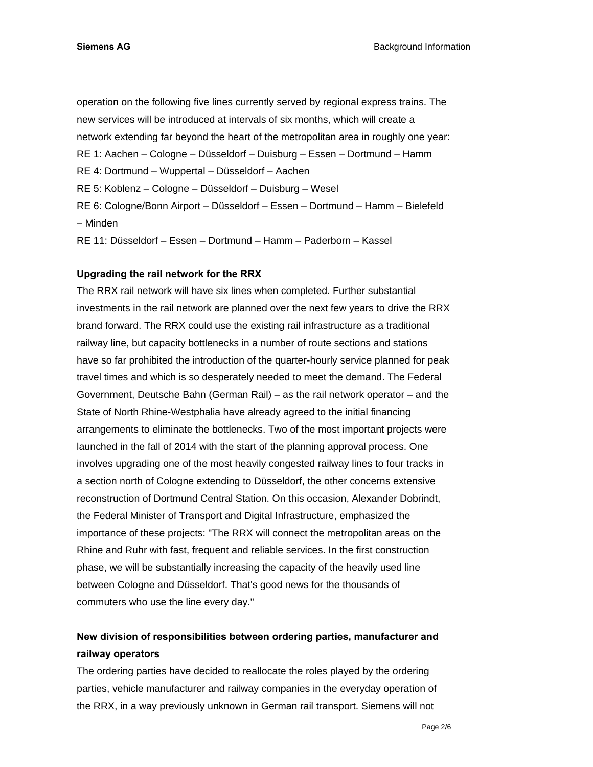operation on the following five lines currently served by regional express trains. The new services will be introduced at intervals of six months, which will create a network extending far beyond the heart of the metropolitan area in roughly one year: RE 1: Aachen – Cologne – Düsseldorf – Duisburg – Essen – Dortmund – Hamm RE 4: Dortmund – Wuppertal – Düsseldorf – Aachen RE 5: Koblenz – Cologne – Düsseldorf – Duisburg – Wesel RE 6: Cologne/Bonn Airport – Düsseldorf – Essen – Dortmund – Hamm – Bielefeld – Minden RE 11: Düsseldorf – Essen – Dortmund – Hamm – Paderborn – Kassel

#### **Upgrading the rail network for the RRX**

The RRX rail network will have six lines when completed. Further substantial investments in the rail network are planned over the next few years to drive the RRX brand forward. The RRX could use the existing rail infrastructure as a traditional railway line, but capacity bottlenecks in a number of route sections and stations have so far prohibited the introduction of the quarter-hourly service planned for peak travel times and which is so desperately needed to meet the demand. The Federal Government, Deutsche Bahn (German Rail) – as the rail network operator – and the State of North Rhine-Westphalia have already agreed to the initial financing arrangements to eliminate the bottlenecks. Two of the most important projects were launched in the fall of 2014 with the start of the planning approval process. One involves upgrading one of the most heavily congested railway lines to four tracks in a section north of Cologne extending to Düsseldorf, the other concerns extensive reconstruction of Dortmund Central Station. On this occasion, Alexander Dobrindt, the Federal Minister of Transport and Digital Infrastructure, emphasized the importance of these projects: "The RRX will connect the metropolitan areas on the Rhine and Ruhr with fast, frequent and reliable services. In the first construction phase, we will be substantially increasing the capacity of the heavily used line between Cologne and Düsseldorf. That's good news for the thousands of commuters who use the line every day."

### **New division of responsibilities between ordering parties, manufacturer and railway operators**

The ordering parties have decided to reallocate the roles played by the ordering parties, vehicle manufacturer and railway companies in the everyday operation of the RRX, in a way previously unknown in German rail transport. Siemens will not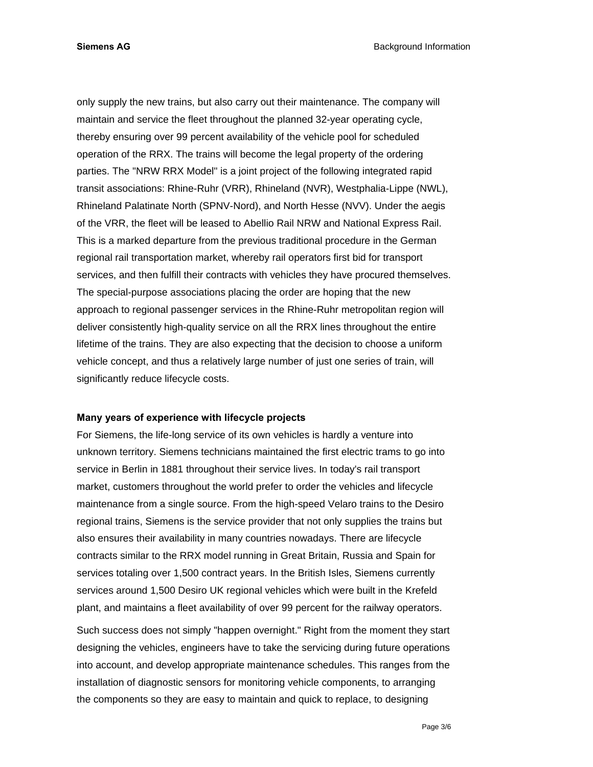only supply the new trains, but also carry out their maintenance. The company will maintain and service the fleet throughout the planned 32-year operating cycle, thereby ensuring over 99 percent availability of the vehicle pool for scheduled operation of the RRX. The trains will become the legal property of the ordering parties. The "NRW RRX Model" is a joint project of the following integrated rapid transit associations: Rhine-Ruhr (VRR), Rhineland (NVR), Westphalia-Lippe (NWL), Rhineland Palatinate North (SPNV-Nord), and North Hesse (NVV). Under the aegis of the VRR, the fleet will be leased to Abellio Rail NRW and National Express Rail. This is a marked departure from the previous traditional procedure in the German regional rail transportation market, whereby rail operators first bid for transport services, and then fulfill their contracts with vehicles they have procured themselves. The special-purpose associations placing the order are hoping that the new approach to regional passenger services in the Rhine-Ruhr metropolitan region will deliver consistently high-quality service on all the RRX lines throughout the entire lifetime of the trains. They are also expecting that the decision to choose a uniform vehicle concept, and thus a relatively large number of just one series of train, will significantly reduce lifecycle costs.

#### **Many years of experience with lifecycle projects**

For Siemens, the life-long service of its own vehicles is hardly a venture into unknown territory. Siemens technicians maintained the first electric trams to go into service in Berlin in 1881 throughout their service lives. In today's rail transport market, customers throughout the world prefer to order the vehicles and lifecycle maintenance from a single source. From the high-speed Velaro trains to the Desiro regional trains, Siemens is the service provider that not only supplies the trains but also ensures their availability in many countries nowadays. There are lifecycle contracts similar to the RRX model running in Great Britain, Russia and Spain for services totaling over 1,500 contract years. In the British Isles, Siemens currently services around 1,500 Desiro UK regional vehicles which were built in the Krefeld plant, and maintains a fleet availability of over 99 percent for the railway operators.

Such success does not simply "happen overnight." Right from the moment they start designing the vehicles, engineers have to take the servicing during future operations into account, and develop appropriate maintenance schedules. This ranges from the installation of diagnostic sensors for monitoring vehicle components, to arranging the components so they are easy to maintain and quick to replace, to designing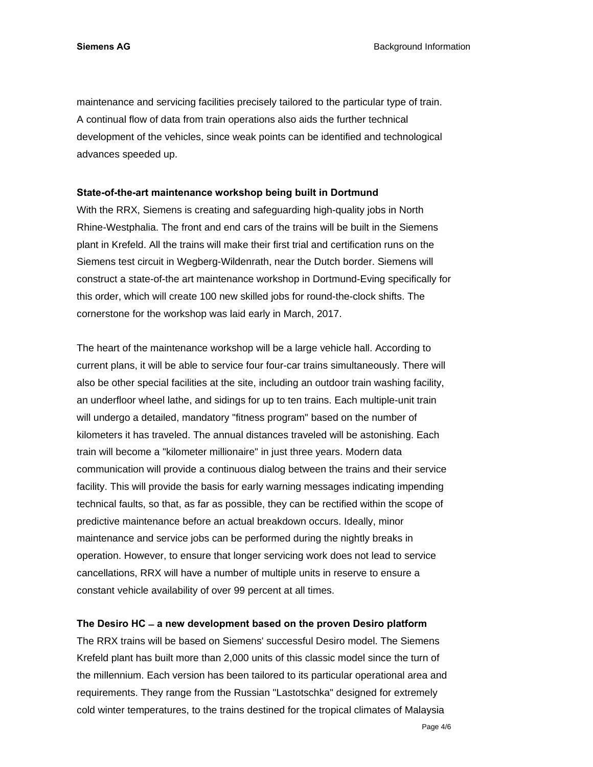**Siemens AG Background Information Background Information** 

maintenance and servicing facilities precisely tailored to the particular type of train. A continual flow of data from train operations also aids the further technical development of the vehicles, since weak points can be identified and technological advances speeded up.

#### **State-of-the-art maintenance workshop being built in Dortmund**

With the RRX, Siemens is creating and safeguarding high-quality jobs in North Rhine-Westphalia. The front and end cars of the trains will be built in the Siemens plant in Krefeld. All the trains will make their first trial and certification runs on the Siemens test circuit in Wegberg-Wildenrath, near the Dutch border. Siemens will construct a state-of-the art maintenance workshop in Dortmund-Eving specifically for this order, which will create 100 new skilled jobs for round-the-clock shifts. The cornerstone for the workshop was laid early in March, 2017.

The heart of the maintenance workshop will be a large vehicle hall. According to current plans, it will be able to service four four-car trains simultaneously. There will also be other special facilities at the site, including an outdoor train washing facility, an underfloor wheel lathe, and sidings for up to ten trains. Each multiple-unit train will undergo a detailed, mandatory "fitness program" based on the number of kilometers it has traveled. The annual distances traveled will be astonishing. Each train will become a "kilometer millionaire" in just three years. Modern data communication will provide a continuous dialog between the trains and their service facility. This will provide the basis for early warning messages indicating impending technical faults, so that, as far as possible, they can be rectified within the scope of predictive maintenance before an actual breakdown occurs. Ideally, minor maintenance and service jobs can be performed during the nightly breaks in operation. However, to ensure that longer servicing work does not lead to service cancellations, RRX will have a number of multiple units in reserve to ensure a constant vehicle availability of over 99 percent at all times.

#### **The Desiro HC ̶ a new development based on the proven Desiro platform**

The RRX trains will be based on Siemens' successful Desiro model. The Siemens Krefeld plant has built more than 2,000 units of this classic model since the turn of the millennium. Each version has been tailored to its particular operational area and requirements. They range from the Russian "Lastotschka" designed for extremely cold winter temperatures, to the trains destined for the tropical climates of Malaysia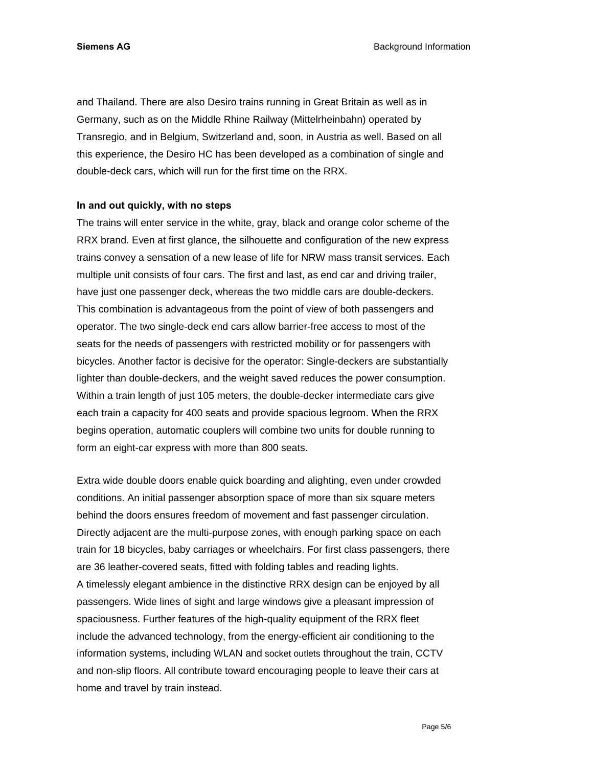**Siemens AG Background Information Background Information** 

and Thailand. There are also Desiro trains running in Great Britain as well as in Germany, such as on the Middle Rhine Railway (Mittelrheinbahn) operated by Transregio, and in Belgium, Switzerland and, soon, in Austria as well. Based on all this experience, the Desiro HC has been developed as a combination of single and double-deck cars, which will run for the first time on the RRX.

#### **In and out quickly, with no steps**

The trains will enter service in the white, gray, black and orange color scheme of the RRX brand. Even at first glance, the silhouette and configuration of the new express trains convey a sensation of a new lease of life for NRW mass transit services. Each multiple unit consists of four cars. The first and last, as end car and driving trailer, have just one passenger deck, whereas the two middle cars are double-deckers. This combination is advantageous from the point of view of both passengers and operator. The two single-deck end cars allow barrier-free access to most of the seats for the needs of passengers with restricted mobility or for passengers with bicycles. Another factor is decisive for the operator: Single-deckers are substantially lighter than double-deckers, and the weight saved reduces the power consumption. Within a train length of just 105 meters, the double-decker intermediate cars give each train a capacity for 400 seats and provide spacious legroom. When the RRX begins operation, automatic couplers will combine two units for double running to form an eight-car express with more than 800 seats.

Extra wide double doors enable quick boarding and alighting, even under crowded conditions. An initial passenger absorption space of more than six square meters behind the doors ensures freedom of movement and fast passenger circulation. Directly adjacent are the multi-purpose zones, with enough parking space on each train for 18 bicycles, baby carriages or wheelchairs. For first class passengers, there are 36 leather-covered seats, fitted with folding tables and reading lights. A timelessly elegant ambience in the distinctive RRX design can be enjoyed by all passengers. Wide lines of sight and large windows give a pleasant impression of spaciousness. Further features of the high-quality equipment of the RRX fleet include the advanced technology, from the energy-efficient air conditioning to the information systems, including WLAN and socket outlets throughout the train, CCTV and non-slip floors. All contribute toward encouraging people to leave their cars at home and travel by train instead.